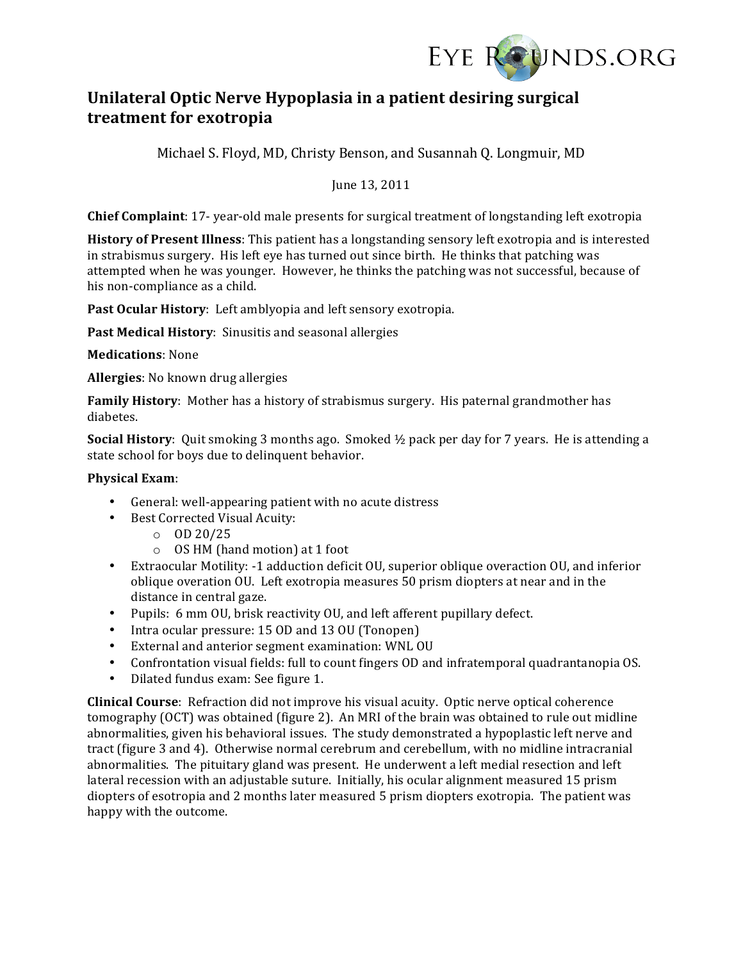

# Unilateral Optic Nerve Hypoplasia in a patient desiring surgical **treatment)for)exotropia)**

Michael S. Floyd, MD, Christy Benson, and Susannah Q. Longmuir, MD

June 13, 2011

**Chief Complaint**: 17- year-old male presents for surgical treatment of longstanding left exotropia

**History of Present Illness**: This patient has a longstanding sensory left exotropia and is interested in strabismus surgery. His left eye has turned out since birth. He thinks that patching was attempted when he was younger. However, he thinks the patching was not successful, because of his non-compliance as a child.

Past Ocular History: Left amblyopia and left sensory exotropia.

Past Medical History: Sinusitis and seasonal allergies

### **Medications: None**

**Allergies**: No known drug allergies

Family History: Mother has a history of strabismus surgery. His paternal grandmother has diabetes.

**Social History**: Quit smoking 3 months ago. Smoked 1/2 pack per day for 7 years. He is attending a state school for boys due to delinquent behavior.

### **Physical Exam:**

- General: well-appearing patient with no acute distress
- Best Corrected Visual Acuity:
	- $O$  OD 20/25
	- $\circ$  OS HM (hand motion) at 1 foot
- Extraocular Motility: -1 adduction deficit OU, superior oblique overaction OU, and inferior oblique overation OU. Left exotropia measures 50 prism diopters at near and in the distance in central gaze.
- Pupils: 6 mm OU, brisk reactivity OU, and left afferent pupillary defect.
- Intra ocular pressure: 15 OD and 13 OU (Tonopen)
- External and anterior segment examination: WNL OU
- Confrontation visual fields: full to count fingers OD and infratemporal quadrantanopia OS.
- Dilated fundus exam: See figure 1.

**Clinical Course**: Refraction did not improve his visual acuity. Optic nerve optical coherence tomography (OCT) was obtained (figure 2). An MRI of the brain was obtained to rule out midline abnormalities, given his behavioral issues. The study demonstrated a hypoplastic left nerve and tract (figure 3 and 4). Otherwise normal cerebrum and cerebellum, with no midline intracranial abnormalities. The pituitary gland was present. He underwent a left medial resection and left lateral recession with an adjustable suture. Initially, his ocular alignment measured 15 prism diopters of esotropia and 2 months later measured 5 prism diopters exotropia. The patient was happy with the outcome.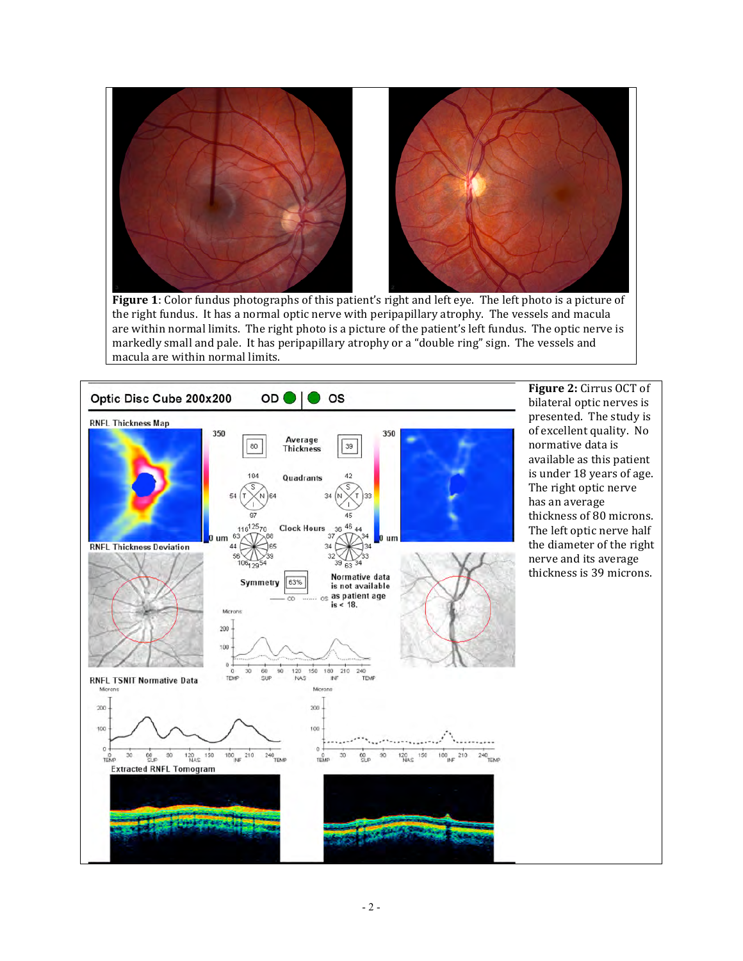

the right fundus. It has a normal optic nerve with peripapillary atrophy. The vessels and macula are within normal limits. The right photo is a picture of the patient's left fundus. The optic nerve is markedly small and pale. It has peripapillary atrophy or a "double ring" sign. The vessels and macula are within normal limits.

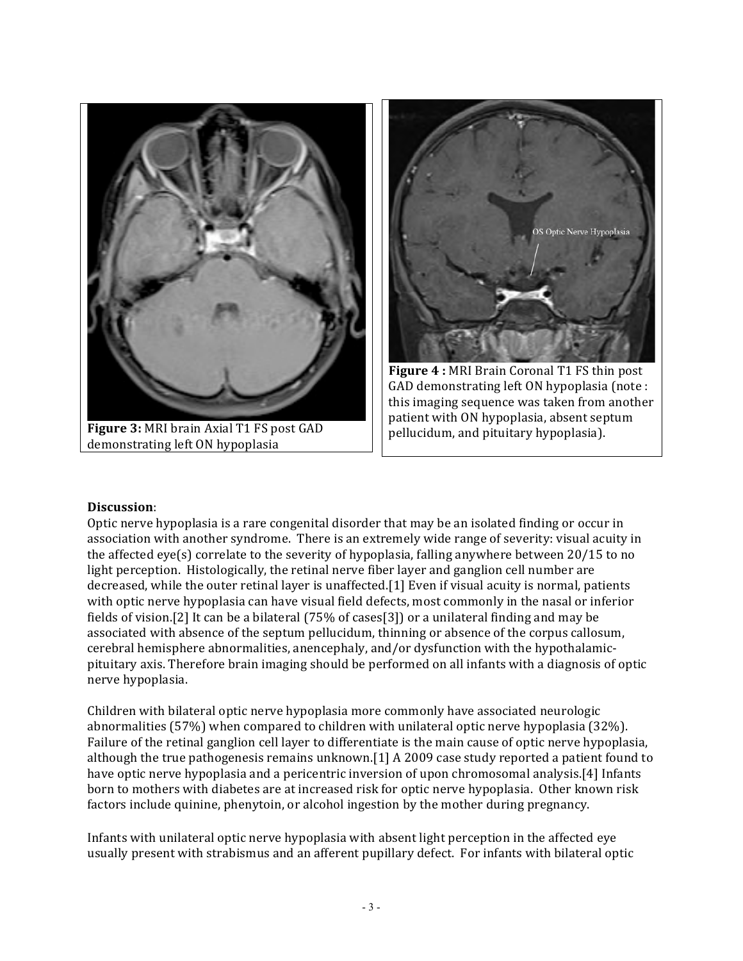

#### **Discussion**:

Optic nerve hypoplasia is a rare congenital disorder that may be an isolated finding or occur in association with another syndrome. There is an extremely wide range of severity: visual acuity in the affected eye(s) correlate to the severity of hypoplasia, falling anywhere between  $20/15$  to no light perception. Histologically, the retinal nerve fiber layer and ganglion cell number are decreased, while the outer retinal layer is unaffected.[1] Even if visual acuity is normal, patients with optic nerve hypoplasia can have visual field defects, most commonly in the nasal or inferior fields of vision.[2] It can be a bilateral (75% of cases[3]) or a unilateral finding and may be associated with absence of the septum pellucidum, thinning or absence of the corpus callosum, cerebral hemisphere abnormalities, anencephaly, and/or dysfunction with the hypothalamicpituitary axis. Therefore brain imaging should be performed on all infants with a diagnosis of optic nerve hypoplasia.

Children with bilateral optic nerve hypoplasia more commonly have associated neurologic abnormalities (57%) when compared to children with unilateral optic nerve hypoplasia (32%). Failure of the retinal ganglion cell layer to differentiate is the main cause of optic nerve hypoplasia, although the true pathogenesis remains unknown.[1] A 2009 case study reported a patient found to have optic nerve hypoplasia and a pericentric inversion of upon chromosomal analysis.[4] Infants born to mothers with diabetes are at increased risk for optic nerve hypoplasia. Other known risk factors include quinine, phenytoin, or alcohol ingestion by the mother during pregnancy.

Infants with unilateral optic nerve hypoplasia with absent light perception in the affected eye usually present with strabismus and an afferent pupillary defect. For infants with bilateral optic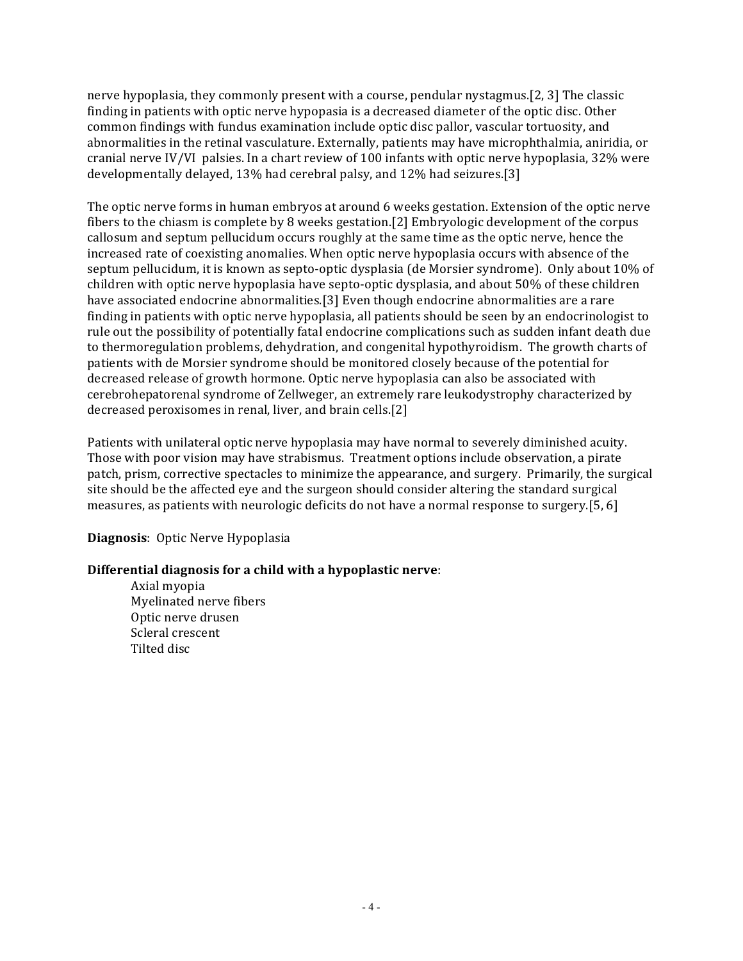nerve hypoplasia, they commonly present with a course, pendular nystagmus.[2, 3] The classic finding in patients with optic nerve hypopasia is a decreased diameter of the optic disc. Other common findings with fundus examination include optic disc pallor, vascular tortuosity, and abnormalities in the retinal vasculature. Externally, patients may have microphthalmia, aniridia, or cranial nerve IV/VI palsies. In a chart review of 100 infants with optic nerve hypoplasia, 32% were developmentally delayed, 13% had cerebral palsy, and 12% had seizures.[3]

The optic nerve forms in human embryos at around 6 weeks gestation. Extension of the optic nerve fibers to the chiasm is complete by 8 weeks gestation.[2] Embryologic development of the corpus callosum and septum pellucidum occurs roughly at the same time as the optic nerve, hence the increased rate of coexisting anomalies. When optic nerve hypoplasia occurs with absence of the septum pellucidum, it is known as septo-optic dysplasia (de Morsier syndrome). Only about 10% of children with optic nerve hypoplasia have septo-optic dysplasia, and about 50% of these children have associated endocrine abnormalities.[3] Even though endocrine abnormalities are a rare finding in patients with optic nerve hypoplasia, all patients should be seen by an endocrinologist to rule out the possibility of potentially fatal endocrine complications such as sudden infant death due to thermoregulation problems, dehydration, and congenital hypothyroidism. The growth charts of patients with de Morsier syndrome should be monitored closely because of the potential for decreased release of growth hormone. Optic nerve hypoplasia can also be associated with cerebrohepatorenal syndrome of Zellweger, an extremely rare leukodystrophy characterized by decreased peroxisomes in renal, liver, and brain cells.[2]

Patients with unilateral optic nerve hypoplasia may have normal to severely diminished acuity. Those with poor vision may have strabismus. Treatment options include observation, a pirate patch, prism, corrective spectacles to minimize the appearance, and surgery. Primarily, the surgical site should be the affected eye and the surgeon should consider altering the standard surgical measures, as patients with neurologic deficits do not have a normal response to surgery.[5, 6]

## **Diagnosis:** Optic Nerve Hypoplasia

### **Differential diagnosis for a child with a hypoplastic nerve:**

Axial myopia Myelinated nerve fibers Optic nerve drusen Scleral crescent Tilted disc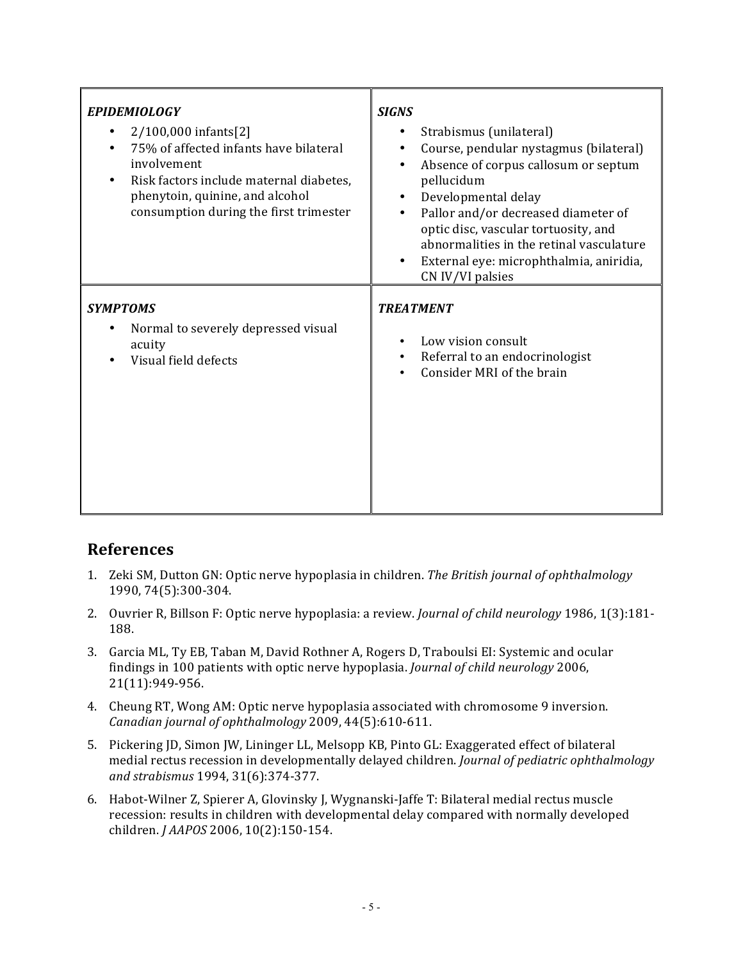| <b>EPIDEMIOLOGY</b><br>2/100,000 infants[2]<br>75% of affected infants have bilateral<br>involvement<br>Risk factors include maternal diabetes,<br>phenytoin, quinine, and alcohol<br>consumption during the first trimester | <b>SIGNS</b><br>Strabismus (unilateral)<br>Course, pendular nystagmus (bilateral)<br>٠<br>Absence of corpus callosum or septum<br>$\bullet$<br>pellucidum<br>Developmental delay<br>$\bullet$<br>Pallor and/or decreased diameter of<br>optic disc, vascular tortuosity, and<br>abnormalities in the retinal vasculature<br>External eye: microphthalmia, aniridia,<br>$\bullet$<br>CN IV/VI palsies |
|------------------------------------------------------------------------------------------------------------------------------------------------------------------------------------------------------------------------------|------------------------------------------------------------------------------------------------------------------------------------------------------------------------------------------------------------------------------------------------------------------------------------------------------------------------------------------------------------------------------------------------------|
| <b>SYMPTOMS</b><br>Normal to severely depressed visual<br>acuity<br>Visual field defects                                                                                                                                     | <b>TREATMENT</b><br>Low vision consult<br>$\bullet$<br>Referral to an endocrinologist<br>$\bullet$<br>Consider MRI of the brain                                                                                                                                                                                                                                                                      |

# **References**

- 1. Zeki SM, Dutton GN: Optic nerve hypoplasia in children. The British journal of ophthalmology 1990, 74(5):300-304.
- 2. Ouvrier R, Billson F: Optic nerve hypoplasia: a review. *Journal of child neurology* 1986, 1(3):181-188.
- 3. Garcia ML, Ty EB, Taban M, David Rothner A, Rogers D, Traboulsi EI: Systemic and ocular findings in 100 patients with optic nerve hypoplasia. *Journal of child neurology* 2006, 21(11):949-956.
- 4. Cheung RT, Wong AM: Optic nerve hypoplasia associated with chromosome 9 inversion. *Canadian journal of ophthalmology* 2009, 44(5):610-611.
- 5. Pickering JD, Simon JW, Lininger LL, Melsopp KB, Pinto GL: Exaggerated effect of bilateral medial rectus recession in developmentally delayed children. *Journal of pediatric ophthalmology* and strabismus 1994, 31(6):374-377.
- 6. Habot-Wilner Z, Spierer A, Glovinsky J, Wygnanski-Jaffe T: Bilateral medial rectus muscle recession: results in children with developmental delay compared with normally developed children. *J AAPOS* 2006, 10(2):150-154.